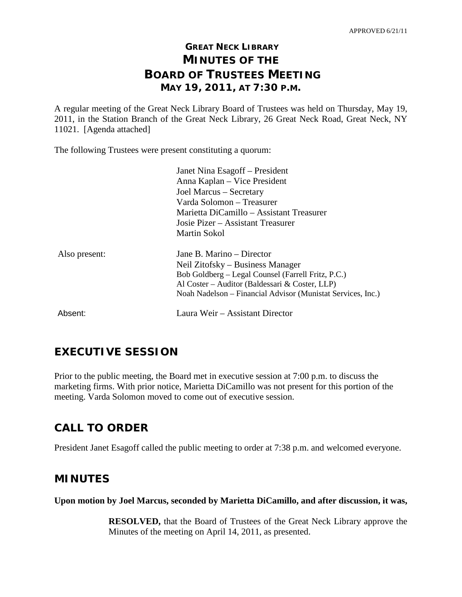# **GREAT NECK LIBRARY MINUTES OF THE BOARD OF TRUSTEES MEETING MAY 19, 2011, AT 7:30 P.M.**

A regular meeting of the Great Neck Library Board of Trustees was held on Thursday, May 19, 2011, in the Station Branch of the Great Neck Library, 26 Great Neck Road, Great Neck, NY 11021. [Agenda attached]

The following Trustees were present constituting a quorum:

|               | Janet Nina Esagoff – President                              |
|---------------|-------------------------------------------------------------|
|               | Anna Kaplan – Vice President                                |
|               | Joel Marcus – Secretary                                     |
|               | Varda Solomon – Treasurer                                   |
|               | Marietta DiCamillo – Assistant Treasurer                    |
|               | Josie Pizer – Assistant Treasurer                           |
|               | Martin Sokol                                                |
| Also present: | Jane B. Marino – Director                                   |
|               | Neil Zitofsky – Business Manager                            |
|               | Bob Goldberg - Legal Counsel (Farrell Fritz, P.C.)          |
|               | Al Coster – Auditor (Baldessari & Coster, LLP)              |
|               | Noah Nadelson – Financial Advisor (Munistat Services, Inc.) |
| Absent:       | Laura Weir – Assistant Director                             |

# **EXECUTIVE SESSION**

Prior to the public meeting, the Board met in executive session at 7:00 p.m. to discuss the marketing firms. With prior notice, Marietta DiCamillo was not present for this portion of the meeting. Varda Solomon moved to come out of executive session.

# **CALL TO ORDER**

President Janet Esagoff called the public meeting to order at 7:38 p.m. and welcomed everyone.

# **MINUTES**

**Upon motion by Joel Marcus, seconded by Marietta DiCamillo, and after discussion, it was,**

**RESOLVED,** that the Board of Trustees of the Great Neck Library approve the Minutes of the meeting on April 14, 2011, as presented.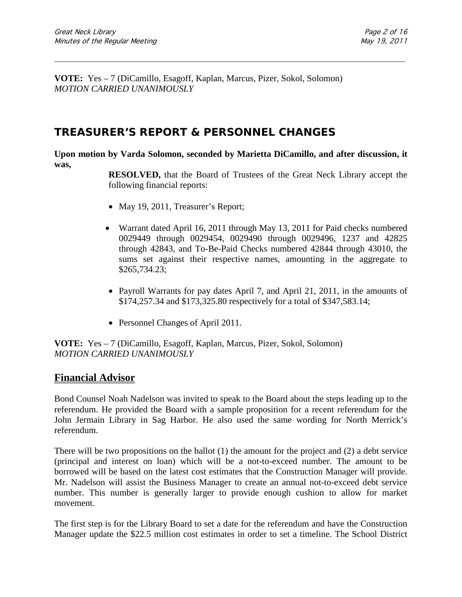**VOTE:** Yes – 7 (DiCamillo, Esagoff, Kaplan, Marcus, Pizer, Sokol, Solomon) *MOTION CARRIED UNANIMOUSLY*

# **TREASURER'S REPORT & PERSONNEL CHANGES**

**Upon motion by Varda Solomon, seconded by Marietta DiCamillo, and after discussion, it was,**

\_\_\_\_\_\_\_\_\_\_\_\_\_\_\_\_\_\_\_\_\_\_\_\_\_\_\_\_\_\_\_\_\_\_\_\_\_\_\_\_\_\_\_\_\_\_\_\_\_\_\_\_\_\_\_\_\_\_\_\_\_\_\_\_\_\_\_\_\_\_\_\_\_\_\_\_\_\_\_\_\_\_\_\_\_\_\_\_\_\_\_\_\_

**RESOLVED,** that the Board of Trustees of the Great Neck Library accept the following financial reports:

- May 19, 2011, Treasurer's Report;
- Warrant dated April 16, 2011 through May 13, 2011 for Paid checks numbered 0029449 through 0029454, 0029490 through 0029496, 1237 and 42825 through 42843, and To-Be-Paid Checks numbered 42844 through 43010, the sums set against their respective names, amounting in the aggregate to \$265,734.23;
- Payroll Warrants for pay dates April 7, and April 21, 2011, in the amounts of \$174,257.34 and \$173,325.80 respectively for a total of \$347,583.14;
- Personnel Changes of April 2011.

**VOTE:** Yes – 7 (DiCamillo, Esagoff, Kaplan, Marcus, Pizer, Sokol, Solomon) *MOTION CARRIED UNANIMOUSLY*

### **Financial Advisor**

Bond Counsel Noah Nadelson was invited to speak to the Board about the steps leading up to the referendum. He provided the Board with a sample proposition for a recent referendum for the John Jermain Library in Sag Harbor. He also used the same wording for North Merrick's referendum.

There will be two propositions on the ballot (1) the amount for the project and (2) a debt service (principal and interest on loan) which will be a not-to-exceed number. The amount to be borrowed will be based on the latest cost estimates that the Construction Manager will provide. Mr. Nadelson will assist the Business Manager to create an annual not-to-exceed debt service number. This number is generally larger to provide enough cushion to allow for market movement.

The first step is for the Library Board to set a date for the referendum and have the Construction Manager update the \$22.5 million cost estimates in order to set a timeline. The School District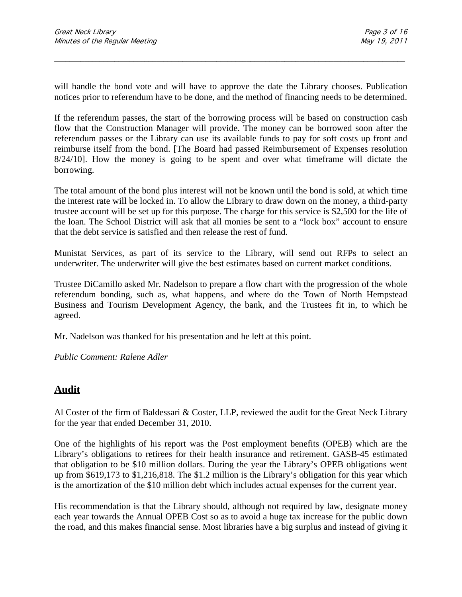will handle the bond vote and will have to approve the date the Library chooses. Publication notices prior to referendum have to be done, and the method of financing needs to be determined.

\_\_\_\_\_\_\_\_\_\_\_\_\_\_\_\_\_\_\_\_\_\_\_\_\_\_\_\_\_\_\_\_\_\_\_\_\_\_\_\_\_\_\_\_\_\_\_\_\_\_\_\_\_\_\_\_\_\_\_\_\_\_\_\_\_\_\_\_\_\_\_\_\_\_\_\_\_\_\_\_\_\_\_\_\_\_\_\_\_\_\_\_\_

If the referendum passes, the start of the borrowing process will be based on construction cash flow that the Construction Manager will provide. The money can be borrowed soon after the referendum passes or the Library can use its available funds to pay for soft costs up front and reimburse itself from the bond. [The Board had passed Reimbursement of Expenses resolution 8/24/10]. How the money is going to be spent and over what timeframe will dictate the borrowing.

The total amount of the bond plus interest will not be known until the bond is sold, at which time the interest rate will be locked in. To allow the Library to draw down on the money, a third-party trustee account will be set up for this purpose. The charge for this service is \$2,500 for the life of the loan. The School District will ask that all monies be sent to a "lock box" account to ensure that the debt service is satisfied and then release the rest of fund.

Munistat Services, as part of its service to the Library, will send out RFPs to select an underwriter. The underwriter will give the best estimates based on current market conditions.

Trustee DiCamillo asked Mr. Nadelson to prepare a flow chart with the progression of the whole referendum bonding, such as, what happens, and where do the Town of North Hempstead Business and Tourism Development Agency, the bank, and the Trustees fit in, to which he agreed.

Mr. Nadelson was thanked for his presentation and he left at this point.

*Public Comment: Ralene Adler*

# **Audit**

Al Coster of the firm of Baldessari & Coster, LLP, reviewed the audit for the Great Neck Library for the year that ended December 31, 2010.

One of the highlights of his report was the Post employment benefits (OPEB) which are the Library's obligations to retirees for their health insurance and retirement. GASB-45 estimated that obligation to be \$10 million dollars. During the year the Library's OPEB obligations went up from \$619,173 to \$1,216,818. The \$1.2 million is the Library's obligation for this year which is the amortization of the \$10 million debt which includes actual expenses for the current year.

His recommendation is that the Library should, although not required by law, designate money each year towards the Annual OPEB Cost so as to avoid a huge tax increase for the public down the road, and this makes financial sense. Most libraries have a big surplus and instead of giving it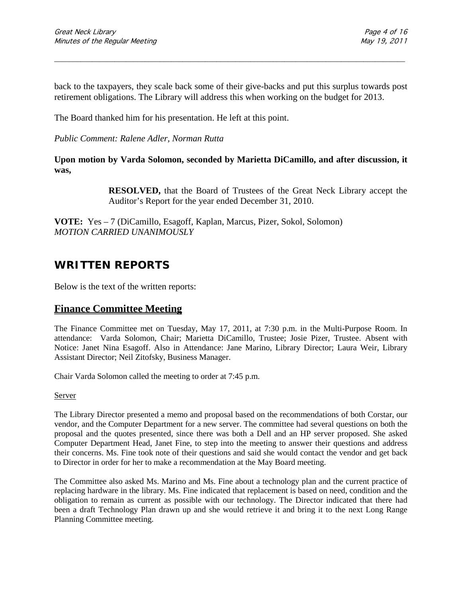back to the taxpayers, they scale back some of their give-backs and put this surplus towards post retirement obligations. The Library will address this when working on the budget for 2013.

\_\_\_\_\_\_\_\_\_\_\_\_\_\_\_\_\_\_\_\_\_\_\_\_\_\_\_\_\_\_\_\_\_\_\_\_\_\_\_\_\_\_\_\_\_\_\_\_\_\_\_\_\_\_\_\_\_\_\_\_\_\_\_\_\_\_\_\_\_\_\_\_\_\_\_\_\_\_\_\_\_\_\_\_\_\_\_\_\_\_\_\_\_

The Board thanked him for his presentation. He left at this point.

*Public Comment: Ralene Adler, Norman Rutta*

**Upon motion by Varda Solomon, seconded by Marietta DiCamillo, and after discussion, it was,**

> **RESOLVED,** that the Board of Trustees of the Great Neck Library accept the Auditor's Report for the year ended December 31, 2010.

**VOTE:** Yes – 7 (DiCamillo, Esagoff, Kaplan, Marcus, Pizer, Sokol, Solomon) *MOTION CARRIED UNANIMOUSLY*

# **WRITTEN REPORTS**

Below is the text of the written reports:

### **Finance Committee Meeting**

The Finance Committee met on Tuesday, May 17, 2011, at 7:30 p.m. in the Multi-Purpose Room. In attendance: Varda Solomon, Chair; Marietta DiCamillo, Trustee; Josie Pizer, Trustee. Absent with Notice: Janet Nina Esagoff. Also in Attendance: Jane Marino, Library Director; Laura Weir, Library Assistant Director; Neil Zitofsky, Business Manager.

Chair Varda Solomon called the meeting to order at 7:45 p.m.

Server

The Library Director presented a memo and proposal based on the recommendations of both Corstar, our vendor, and the Computer Department for a new server. The committee had several questions on both the proposal and the quotes presented, since there was both a Dell and an HP server proposed. She asked Computer Department Head, Janet Fine, to step into the meeting to answer their questions and address their concerns. Ms. Fine took note of their questions and said she would contact the vendor and get back to Director in order for her to make a recommendation at the May Board meeting.

The Committee also asked Ms. Marino and Ms. Fine about a technology plan and the current practice of replacing hardware in the library. Ms. Fine indicated that replacement is based on need, condition and the obligation to remain as current as possible with our technology. The Director indicated that there had been a draft Technology Plan drawn up and she would retrieve it and bring it to the next Long Range Planning Committee meeting.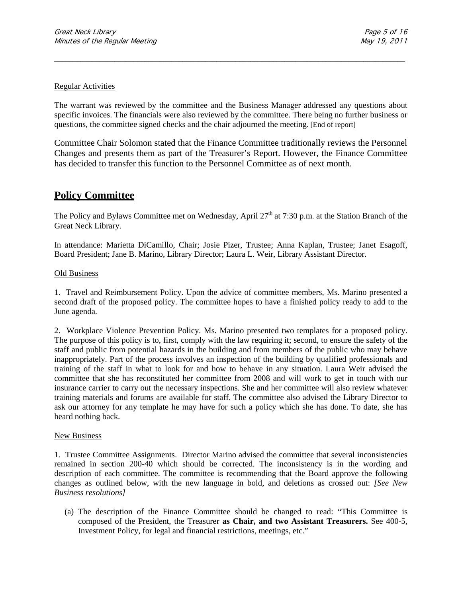#### Regular Activities

The warrant was reviewed by the committee and the Business Manager addressed any questions about specific invoices. The financials were also reviewed by the committee. There being no further business or questions, the committee signed checks and the chair adjourned the meeting. [End of report]

\_\_\_\_\_\_\_\_\_\_\_\_\_\_\_\_\_\_\_\_\_\_\_\_\_\_\_\_\_\_\_\_\_\_\_\_\_\_\_\_\_\_\_\_\_\_\_\_\_\_\_\_\_\_\_\_\_\_\_\_\_\_\_\_\_\_\_\_\_\_\_\_\_\_\_\_\_\_\_\_\_\_\_\_\_\_\_\_\_\_\_\_\_

Committee Chair Solomon stated that the Finance Committee traditionally reviews the Personnel Changes and presents them as part of the Treasurer's Report. However, the Finance Committee has decided to transfer this function to the Personnel Committee as of next month.

### **Policy Committee**

The Policy and Bylaws Committee met on Wednesday, April  $27<sup>th</sup>$  at 7:30 p.m. at the Station Branch of the Great Neck Library.

In attendance: Marietta DiCamillo, Chair; Josie Pizer, Trustee; Anna Kaplan, Trustee; Janet Esagoff, Board President; Jane B. Marino, Library Director; Laura L. Weir, Library Assistant Director.

#### Old Business

1. Travel and Reimbursement Policy. Upon the advice of committee members, Ms. Marino presented a second draft of the proposed policy. The committee hopes to have a finished policy ready to add to the June agenda.

2. Workplace Violence Prevention Policy. Ms. Marino presented two templates for a proposed policy. The purpose of this policy is to, first, comply with the law requiring it; second, to ensure the safety of the staff and public from potential hazards in the building and from members of the public who may behave inappropriately. Part of the process involves an inspection of the building by qualified professionals and training of the staff in what to look for and how to behave in any situation. Laura Weir advised the committee that she has reconstituted her committee from 2008 and will work to get in touch with our insurance carrier to carry out the necessary inspections. She and her committee will also review whatever training materials and forums are available for staff. The committee also advised the Library Director to ask our attorney for any template he may have for such a policy which she has done. To date, she has heard nothing back.

#### New Business

1. Trustee Committee Assignments. Director Marino advised the committee that several inconsistencies remained in section 200-40 which should be corrected. The inconsistency is in the wording and description of each committee. The committee is recommending that the Board approve the following changes as outlined below, with the new language in bold, and deletions as crossed out: *[See New Business resolutions]*

(a) The description of the Finance Committee should be changed to read: "This Committee is composed of the President, the Treasurer **as Chair, and two Assistant Treasurers.** See 400-5, Investment Policy, for legal and financial restrictions, meetings, etc."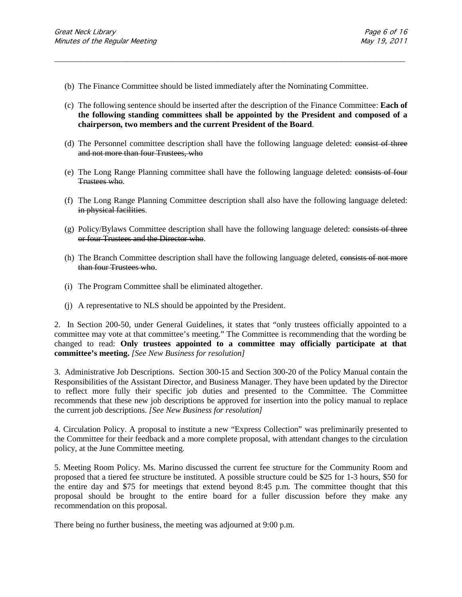- (b) The Finance Committee should be listed immediately after the Nominating Committee.
- (c) The following sentence should be inserted after the description of the Finance Committee: **Each of the following standing committees shall be appointed by the President and composed of a chairperson, two members and the current President of the Board**.

\_\_\_\_\_\_\_\_\_\_\_\_\_\_\_\_\_\_\_\_\_\_\_\_\_\_\_\_\_\_\_\_\_\_\_\_\_\_\_\_\_\_\_\_\_\_\_\_\_\_\_\_\_\_\_\_\_\_\_\_\_\_\_\_\_\_\_\_\_\_\_\_\_\_\_\_\_\_\_\_\_\_\_\_\_\_\_\_\_\_\_\_\_

- (d) The Personnel committee description shall have the following language deleted: consist of three and not more than four Trustees, who
- (e) The Long Range Planning committee shall have the following language deleted: consists of four Trustees who.
- (f) The Long Range Planning Committee description shall also have the following language deleted: in physical facilities.
- $(g)$  Policy/Bylaws Committee description shall have the following language deleted: consists of three or four Trustees and the Director who.
- (h) The Branch Committee description shall have the following language deleted, consists of not more than four Trustees who.
- (i) The Program Committee shall be eliminated altogether.
- (j) A representative to NLS should be appointed by the President.

2.In Section 200-50, under General Guidelines, it states that "only trustees officially appointed to a committee may vote at that committee's meeting." The Committee is recommending that the wording be changed to read: **Only trustees appointed to a committee may officially participate at that committee's meeting.** *[See New Business for resolution]*

3. Administrative Job Descriptions. Section 300-15 and Section 300-20 of the Policy Manual contain the Responsibilities of the Assistant Director, and Business Manager. They have been updated by the Director to reflect more fully their specific job duties and presented to the Committee. The Committee recommends that these new job descriptions be approved for insertion into the policy manual to replace the current job descriptions. *[See New Business for resolution]*

4. Circulation Policy. A proposal to institute a new "Express Collection" was preliminarily presented to the Committee for their feedback and a more complete proposal, with attendant changes to the circulation policy, at the June Committee meeting.

5. Meeting Room Policy. Ms. Marino discussed the current fee structure for the Community Room and proposed that a tiered fee structure be instituted. A possible structure could be \$25 for 1-3 hours, \$50 for the entire day and \$75 for meetings that extend beyond 8:45 p.m. The committee thought that this proposal should be brought to the entire board for a fuller discussion before they make any recommendation on this proposal.

There being no further business, the meeting was adjourned at 9:00 p.m.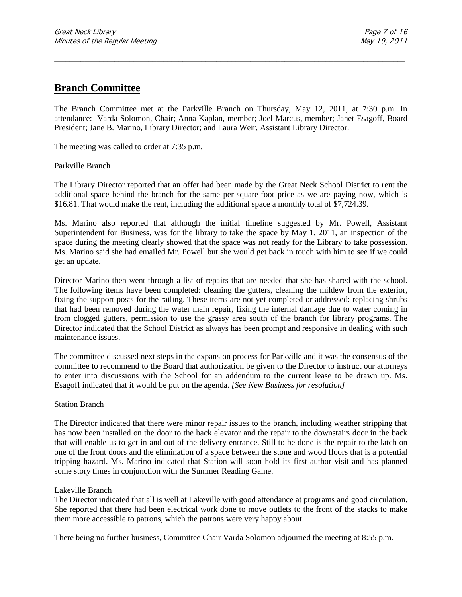### **Branch Committee**

The Branch Committee met at the Parkville Branch on Thursday, May 12, 2011, at 7:30 p.m. In attendance:Varda Solomon, Chair; Anna Kaplan, member; Joel Marcus, member; Janet Esagoff, Board President; Jane B. Marino, Library Director; and Laura Weir, Assistant Library Director.

\_\_\_\_\_\_\_\_\_\_\_\_\_\_\_\_\_\_\_\_\_\_\_\_\_\_\_\_\_\_\_\_\_\_\_\_\_\_\_\_\_\_\_\_\_\_\_\_\_\_\_\_\_\_\_\_\_\_\_\_\_\_\_\_\_\_\_\_\_\_\_\_\_\_\_\_\_\_\_\_\_\_\_\_\_\_\_\_\_\_\_\_\_

The meeting was called to order at 7:35 p.m.

#### Parkville Branch

The Library Director reported that an offer had been made by the Great Neck School District to rent the additional space behind the branch for the same per-square-foot price as we are paying now, which is \$16.81. That would make the rent, including the additional space a monthly total of \$7,724.39.

Ms. Marino also reported that although the initial timeline suggested by Mr. Powell, Assistant Superintendent for Business, was for the library to take the space by May 1, 2011, an inspection of the space during the meeting clearly showed that the space was not ready for the Library to take possession. Ms. Marino said she had emailed Mr. Powell but she would get back in touch with him to see if we could get an update.

Director Marino then went through a list of repairs that are needed that she has shared with the school. The following items have been completed: cleaning the gutters, cleaning the mildew from the exterior, fixing the support posts for the railing. These items are not yet completed or addressed: replacing shrubs that had been removed during the water main repair, fixing the internal damage due to water coming in from clogged gutters, permission to use the grassy area south of the branch for library programs. The Director indicated that the School District as always has been prompt and responsive in dealing with such maintenance issues.

The committee discussed next steps in the expansion process for Parkville and it was the consensus of the committee to recommend to the Board that authorization be given to the Director to instruct our attorneys to enter into discussions with the School for an addendum to the current lease to be drawn up. Ms. Esagoff indicated that it would be put on the agenda. *[See New Business for resolution]*

#### Station Branch

The Director indicated that there were minor repair issues to the branch, including weather stripping that has now been installed on the door to the back elevator and the repair to the downstairs door in the back that will enable us to get in and out of the delivery entrance. Still to be done is the repair to the latch on one of the front doors and the elimination of a space between the stone and wood floors that is a potential tripping hazard. Ms. Marino indicated that Station will soon hold its first author visit and has planned some story times in conjunction with the Summer Reading Game.

#### Lakeville Branch

The Director indicated that all is well at Lakeville with good attendance at programs and good circulation. She reported that there had been electrical work done to move outlets to the front of the stacks to make them more accessible to patrons, which the patrons were very happy about.

There being no further business, Committee Chair Varda Solomon adjourned the meeting at 8:55 p.m.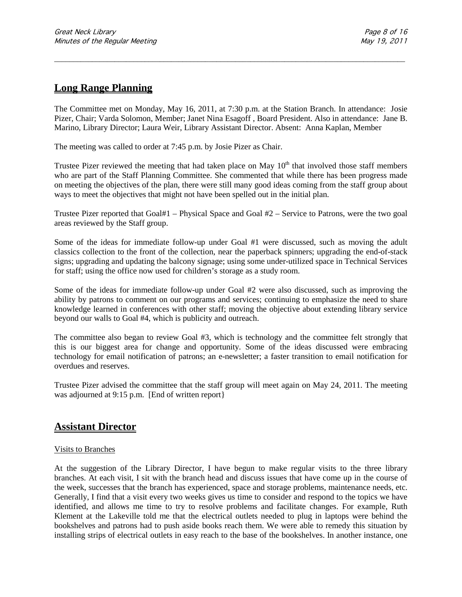### **Long Range Planning**

The Committee met on Monday, May 16, 2011, at 7:30 p.m. at the Station Branch. In attendance: Josie Pizer, Chair; Varda Solomon, Member; Janet Nina Esagoff , Board President. Also in attendance: Jane B. Marino, Library Director; Laura Weir, Library Assistant Director. Absent: Anna Kaplan, Member

\_\_\_\_\_\_\_\_\_\_\_\_\_\_\_\_\_\_\_\_\_\_\_\_\_\_\_\_\_\_\_\_\_\_\_\_\_\_\_\_\_\_\_\_\_\_\_\_\_\_\_\_\_\_\_\_\_\_\_\_\_\_\_\_\_\_\_\_\_\_\_\_\_\_\_\_\_\_\_\_\_\_\_\_\_\_\_\_\_\_\_\_\_

The meeting was called to order at 7:45 p.m. by Josie Pizer as Chair.

Trustee Pizer reviewed the meeting that had taken place on May  $10<sup>th</sup>$  that involved those staff members who are part of the Staff Planning Committee. She commented that while there has been progress made on meeting the objectives of the plan, there were still many good ideas coming from the staff group about ways to meet the objectives that might not have been spelled out in the initial plan.

Trustee Pizer reported that Goal#1 – Physical Space and Goal #2 – Service to Patrons, were the two goal areas reviewed by the Staff group.

Some of the ideas for immediate follow-up under Goal #1 were discussed, such as moving the adult classics collection to the front of the collection, near the paperback spinners; upgrading the end-of-stack signs; upgrading and updating the balcony signage; using some under-utilized space in Technical Services for staff; using the office now used for children's storage as a study room.

Some of the ideas for immediate follow-up under Goal #2 were also discussed, such as improving the ability by patrons to comment on our programs and services; continuing to emphasize the need to share knowledge learned in conferences with other staff; moving the objective about extending library service beyond our walls to Goal #4, which is publicity and outreach.

The committee also began to review Goal #3, which is technology and the committee felt strongly that this is our biggest area for change and opportunity. Some of the ideas discussed were embracing technology for email notification of patrons; an e-newsletter; a faster transition to email notification for overdues and reserves.

Trustee Pizer advised the committee that the staff group will meet again on May 24, 2011. The meeting was adjourned at 9:15 p.m. [End of written report}

### **Assistant Director**

#### Visits to Branches

At the suggestion of the Library Director, I have begun to make regular visits to the three library branches. At each visit, I sit with the branch head and discuss issues that have come up in the course of the week, successes that the branch has experienced, space and storage problems, maintenance needs, etc. Generally, I find that a visit every two weeks gives us time to consider and respond to the topics we have identified, and allows me time to try to resolve problems and facilitate changes. For example, Ruth Klement at the Lakeville told me that the electrical outlets needed to plug in laptops were behind the bookshelves and patrons had to push aside books reach them. We were able to remedy this situation by installing strips of electrical outlets in easy reach to the base of the bookshelves. In another instance, one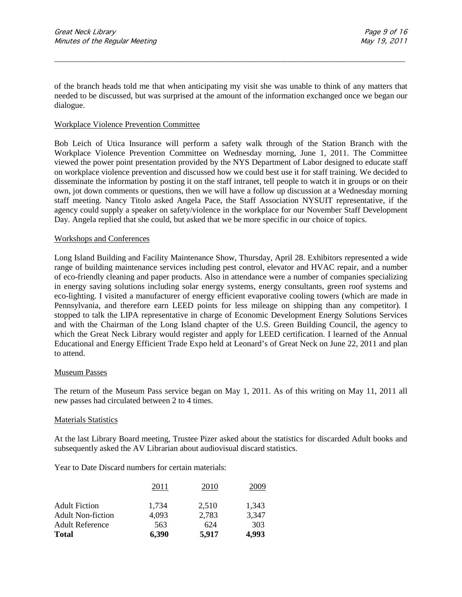of the branch heads told me that when anticipating my visit she was unable to think of any matters that needed to be discussed, but was surprised at the amount of the information exchanged once we began our dialogue.

\_\_\_\_\_\_\_\_\_\_\_\_\_\_\_\_\_\_\_\_\_\_\_\_\_\_\_\_\_\_\_\_\_\_\_\_\_\_\_\_\_\_\_\_\_\_\_\_\_\_\_\_\_\_\_\_\_\_\_\_\_\_\_\_\_\_\_\_\_\_\_\_\_\_\_\_\_\_\_\_\_\_\_\_\_\_\_\_\_\_\_\_\_

#### Workplace Violence Prevention Committee

Bob Leich of Utica Insurance will perform a safety walk through of the Station Branch with the Workplace Violence Prevention Committee on Wednesday morning, June 1, 2011. The Committee viewed the power point presentation provided by the NYS Department of Labor designed to educate staff on workplace violence prevention and discussed how we could best use it for staff training. We decided to disseminate the information by posting it on the staff intranet, tell people to watch it in groups or on their own, jot down comments or questions, then we will have a follow up discussion at a Wednesday morning staff meeting. Nancy Titolo asked Angela Pace, the Staff Association NYSUIT representative, if the agency could supply a speaker on safety/violence in the workplace for our November Staff Development Day. Angela replied that she could, but asked that we be more specific in our choice of topics.

#### Workshops and Conferences

Long Island Building and Facility Maintenance Show, Thursday, April 28. Exhibitors represented a wide range of building maintenance services including pest control, elevator and HVAC repair, and a number of eco-friendly cleaning and paper products. Also in attendance were a number of companies specializing in energy saving solutions including solar energy systems, energy consultants, green roof systems and eco-lighting. I visited a manufacturer of energy efficient evaporative cooling towers (which are made in Pennsylvania, and therefore earn LEED points for less mileage on shipping than any competitor). I stopped to talk the LIPA representative in charge of Economic Development Energy Solutions Services and with the Chairman of the Long Island chapter of the U.S. Green Building Council, the agency to which the Great Neck Library would register and apply for LEED certification. I learned of the Annual Educational and Energy Efficient Trade Expo held at Leonard's of Great Neck on June 22, 2011 and plan to attend.

#### Museum Passes

The return of the Museum Pass service began on May 1, 2011. As of this writing on May 11, 2011 all new passes had circulated between 2 to 4 times.

#### Materials Statistics

At the last Library Board meeting, Trustee Pizer asked about the statistics for discarded Adult books and subsequently asked the AV Librarian about audiovisual discard statistics.

Year to Date Discard numbers for certain materials:

|                          | 2011  | 2010  | 2009  |
|--------------------------|-------|-------|-------|
| <b>Adult Fiction</b>     | 1.734 | 2,510 | 1,343 |
| <b>Adult Non-fiction</b> | 4,093 | 2,783 | 3,347 |
| <b>Adult Reference</b>   | 563   | 624   | 303   |
| <b>Total</b>             | 6,390 | 5,917 | 4.993 |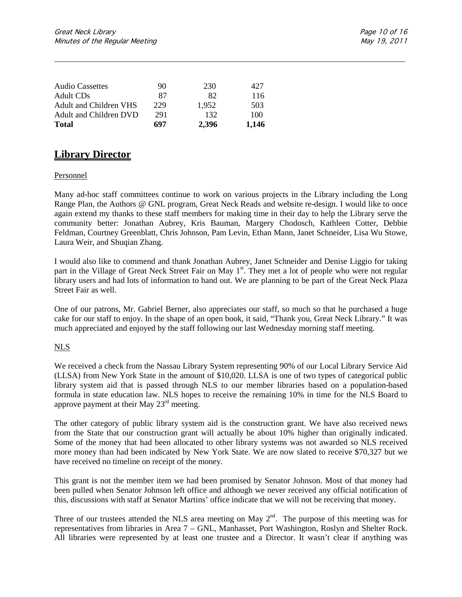| <b>Audio Cassettes</b> | 90  | 230   | 427   |
|------------------------|-----|-------|-------|
| Adult CDs              | 87  | 82    | 116   |
| Adult and Children VHS | 229 | 1.952 | 503   |
| Adult and Children DVD | 291 | 132   | 100   |
| <b>Total</b>           | 697 | 2.396 | 1.146 |

## **Library Director**

#### Personnel

Many ad-hoc staff committees continue to work on various projects in the Library including the Long Range Plan, the Authors @ GNL program, Great Neck Reads and website re-design. I would like to once again extend my thanks to these staff members for making time in their day to help the Library serve the community better: Jonathan Aubrey, Kris Bauman, Margery Chodosch, Kathleen Cotter, Debbie Feldman, Courtney Greenblatt, Chris Johnson, Pam Levin, Ethan Mann, Janet Schneider, Lisa Wu Stowe, Laura Weir, and Shuqian Zhang.

\_\_\_\_\_\_\_\_\_\_\_\_\_\_\_\_\_\_\_\_\_\_\_\_\_\_\_\_\_\_\_\_\_\_\_\_\_\_\_\_\_\_\_\_\_\_\_\_\_\_\_\_\_\_\_\_\_\_\_\_\_\_\_\_\_\_\_\_\_\_\_\_\_\_\_\_\_\_\_\_\_\_\_\_\_\_\_\_\_\_\_\_\_

I would also like to commend and thank Jonathan Aubrey, Janet Schneider and Denise Liggio for taking part in the Village of Great Neck Street Fair on May 1<sup>st</sup>. They met a lot of people who were not regular library users and had lots of information to hand out. We are planning to be part of the Great Neck Plaza Street Fair as well.

One of our patrons, Mr. Gabriel Berner, also appreciates our staff, so much so that he purchased a huge cake for our staff to enjoy. In the shape of an open book, it said, "Thank you, Great Neck Library." It was much appreciated and enjoyed by the staff following our last Wednesday morning staff meeting.

#### NLS

We received a check from the Nassau Library System representing 90% of our Local Library Service Aid (LLSA) from New York State in the amount of \$10,020. LLSA is one of two types of categorical public library system aid that is passed through NLS to our member libraries based on a population-based formula in state education law. NLS hopes to receive the remaining 10% in time for the NLS Board to approve payment at their May  $23<sup>rd</sup>$  meeting.

The other category of public library system aid is the construction grant. We have also received news from the State that our construction grant will actually be about 10% higher than originally indicated. Some of the money that had been allocated to other library systems was not awarded so NLS received more money than had been indicated by New York State. We are now slated to receive \$70,327 but we have received no timeline on receipt of the money.

This grant is not the member item we had been promised by Senator Johnson. Most of that money had been pulled when Senator Johnson left office and although we never received any official notification of this, discussions with staff at Senator Martins' office indicate that we will not be receiving that money.

Three of our trustees attended the NLS area meeting on May  $2^{nd}$ . The purpose of this meeting was for representatives from libraries in Area 7 – GNL, Manhasset, Port Washington, Roslyn and Shelter Rock. All libraries were represented by at least one trustee and a Director. It wasn't clear if anything was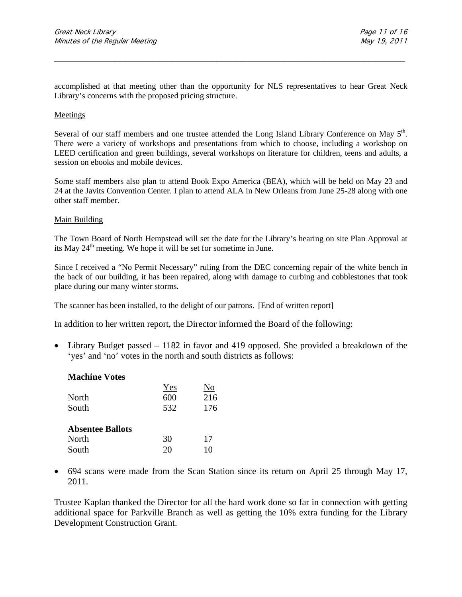accomplished at that meeting other than the opportunity for NLS representatives to hear Great Neck Library's concerns with the proposed pricing structure.

\_\_\_\_\_\_\_\_\_\_\_\_\_\_\_\_\_\_\_\_\_\_\_\_\_\_\_\_\_\_\_\_\_\_\_\_\_\_\_\_\_\_\_\_\_\_\_\_\_\_\_\_\_\_\_\_\_\_\_\_\_\_\_\_\_\_\_\_\_\_\_\_\_\_\_\_\_\_\_\_\_\_\_\_\_\_\_\_\_\_\_\_\_

#### Meetings

Several of our staff members and one trustee attended the Long Island Library Conference on May 5<sup>th</sup>. There were a variety of workshops and presentations from which to choose, including a workshop on LEED certification and green buildings, several workshops on literature for children, teens and adults, a session on ebooks and mobile devices.

Some staff members also plan to attend Book Expo America (BEA), which will be held on May 23 and 24 at the Javits Convention Center. I plan to attend ALA in New Orleans from June 25-28 along with one other staff member.

#### Main Building

The Town Board of North Hempstead will set the date for the Library's hearing on site Plan Approval at its May  $24<sup>th</sup>$  meeting. We hope it will be set for sometime in June.

Since I received a "No Permit Necessary" ruling from the DEC concerning repair of the white bench in the back of our building, it has been repaired, along with damage to curbing and cobblestones that took place during our many winter storms.

The scanner has been installed, to the delight of our patrons. [End of written report]

In addition to her written report, the Director informed the Board of the following:

• Library Budget passed – 1182 in favor and 419 opposed. She provided a breakdown of the 'yes' and 'no' votes in the north and south districts as follows:

| <b>Machine Votes</b>    |     |     |
|-------------------------|-----|-----|
|                         | Yes | No  |
| North                   | 600 | 216 |
| South                   | 532 | 176 |
| <b>Absentee Ballots</b> |     |     |
| North                   | 30  | 17  |
| South                   | 20  | 10  |

• 694 scans were made from the Scan Station since its return on April 25 through May 17, 2011.

Trustee Kaplan thanked the Director for all the hard work done so far in connection with getting additional space for Parkville Branch as well as getting the 10% extra funding for the Library Development Construction Grant.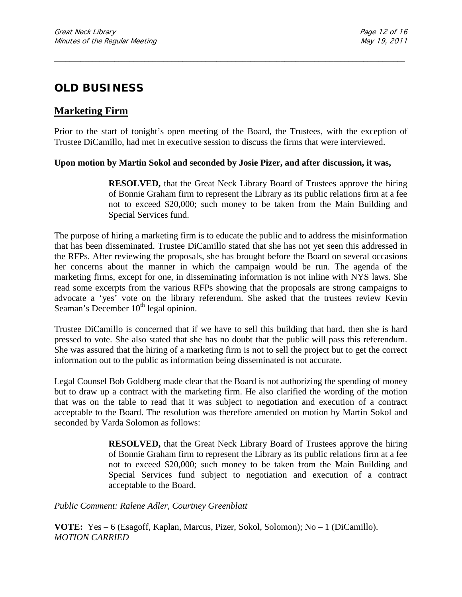# **OLD BUSINESS**

# **Marketing Firm**

Prior to the start of tonight's open meeting of the Board, the Trustees, with the exception of Trustee DiCamillo, had met in executive session to discuss the firms that were interviewed.

\_\_\_\_\_\_\_\_\_\_\_\_\_\_\_\_\_\_\_\_\_\_\_\_\_\_\_\_\_\_\_\_\_\_\_\_\_\_\_\_\_\_\_\_\_\_\_\_\_\_\_\_\_\_\_\_\_\_\_\_\_\_\_\_\_\_\_\_\_\_\_\_\_\_\_\_\_\_\_\_\_\_\_\_\_\_\_\_\_\_\_\_\_

### **Upon motion by Martin Sokol and seconded by Josie Pizer, and after discussion, it was,**

**RESOLVED,** that the Great Neck Library Board of Trustees approve the hiring of Bonnie Graham firm to represent the Library as its public relations firm at a fee not to exceed \$20,000; such money to be taken from the Main Building and Special Services fund.

The purpose of hiring a marketing firm is to educate the public and to address the misinformation that has been disseminated. Trustee DiCamillo stated that she has not yet seen this addressed in the RFPs. After reviewing the proposals, she has brought before the Board on several occasions her concerns about the manner in which the campaign would be run. The agenda of the marketing firms, except for one, in disseminating information is not inline with NYS laws. She read some excerpts from the various RFPs showing that the proposals are strong campaigns to advocate a 'yes' vote on the library referendum. She asked that the trustees review Kevin Seaman's December  $10<sup>th</sup>$  legal opinion.

Trustee DiCamillo is concerned that if we have to sell this building that hard, then she is hard pressed to vote. She also stated that she has no doubt that the public will pass this referendum. She was assured that the hiring of a marketing firm is not to sell the project but to get the correct information out to the public as information being disseminated is not accurate.

Legal Counsel Bob Goldberg made clear that the Board is not authorizing the spending of money but to draw up a contract with the marketing firm. He also clarified the wording of the motion that was on the table to read that it was subject to negotiation and execution of a contract acceptable to the Board. The resolution was therefore amended on motion by Martin Sokol and seconded by Varda Solomon as follows:

> **RESOLVED,** that the Great Neck Library Board of Trustees approve the hiring of Bonnie Graham firm to represent the Library as its public relations firm at a fee not to exceed \$20,000; such money to be taken from the Main Building and Special Services fund subject to negotiation and execution of a contract acceptable to the Board.

*Public Comment: Ralene Adler, Courtney Greenblatt*

**VOTE:** Yes – 6 (Esagoff, Kaplan, Marcus, Pizer, Sokol, Solomon); No – 1 (DiCamillo). *MOTION CARRIED*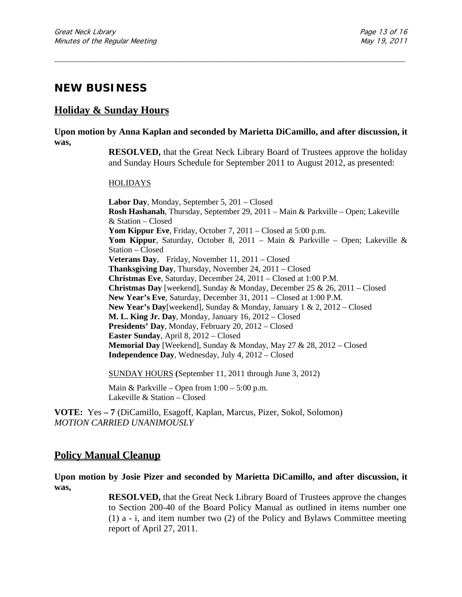# **NEW BUSINESS**

### **Holiday & Sunday Hours**

**Upon motion by Anna Kaplan and seconded by Marietta DiCamillo, and after discussion, it was,**

\_\_\_\_\_\_\_\_\_\_\_\_\_\_\_\_\_\_\_\_\_\_\_\_\_\_\_\_\_\_\_\_\_\_\_\_\_\_\_\_\_\_\_\_\_\_\_\_\_\_\_\_\_\_\_\_\_\_\_\_\_\_\_\_\_\_\_\_\_\_\_\_\_\_\_\_\_\_\_\_\_\_\_\_\_\_\_\_\_\_\_\_\_

**RESOLVED,** that the Great Neck Library Board of Trustees approve the holiday and Sunday Hours Schedule for September 2011 to August 2012, as presented:

#### HOLIDAYS

**Labor Day**, Monday, September 5, 201 – Closed **Rosh Hashanah**, Thursday, September 29, 2011 – Main & Parkville – Open; Lakeville & Station – Closed **Yom Kippur Eve**, Friday, October 7, 2011 – Closed at 5:00 p.m. **Yom Kippur**, Saturday, October 8, 2011 – Main & Parkville – Open; Lakeville & Station – Closed **Veterans Day**, Friday, November 11, 2011 – Closed **Thanksgiving Day**, Thursday, November 24, 2011 – Closed **Christmas Eve**, Saturday, December 24, 2011 – Closed at 1:00 P.M. **Christmas Day** [weekend], Sunday & Monday, December 25 & 26, 2011 – Closed **New Year's Eve**, Saturday, December 31, 2011 – Closed at 1:00 P.M. **New Year's Day**[weekend], Sunday & Monday, January 1 & 2, 2012 – Closed **M. L. King Jr. Day**, Monday, January 16, 2012 – Closed **Presidents' Day**, Monday, February 20, 2012 – Closed **Easter Sunday**, April 8, 2012 – Closed **Memorial Day** [Weekend], Sunday & Monday, May 27 & 28, 2012 – Closed **Independence Day**, Wednesday, July 4, 2012 – Closed

SUNDAY HOURS **(**September 11, 2011 through June 3, 2012)

Main & Parkville – Open from  $1:00 - 5:00$  p.m. Lakeville & Station – Closed

**VOTE:** Yes **– 7** (DiCamillo, Esagoff, Kaplan, Marcus, Pizer, Sokol, Solomon) *MOTION CARRIED UNANIMOUSLY*

### **Policy Manual Cleanup**

**Upon motion by Josie Pizer and seconded by Marietta DiCamillo, and after discussion, it was,**

> **RESOLVED,** that the Great Neck Library Board of Trustees approve the changes to Section 200-40 of the Board Policy Manual as outlined in items number one (1) a - i, and item number two (2) of the Policy and Bylaws Committee meeting report of April 27, 2011.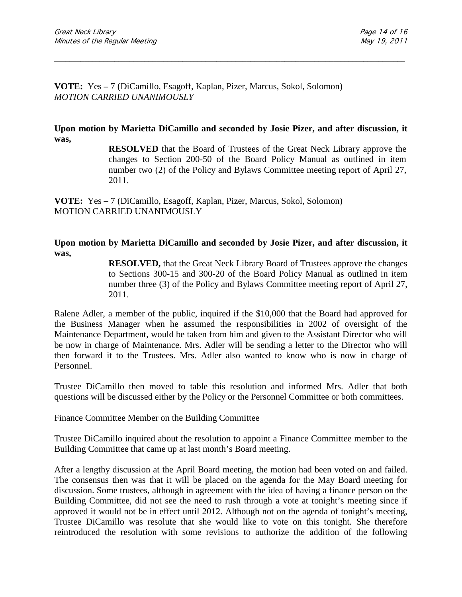**VOTE:** Yes **–** 7 (DiCamillo, Esagoff, Kaplan, Pizer, Marcus, Sokol, Solomon) *MOTION CARRIED UNANIMOUSLY*

**Upon motion by Marietta DiCamillo and seconded by Josie Pizer, and after discussion, it was,**

\_\_\_\_\_\_\_\_\_\_\_\_\_\_\_\_\_\_\_\_\_\_\_\_\_\_\_\_\_\_\_\_\_\_\_\_\_\_\_\_\_\_\_\_\_\_\_\_\_\_\_\_\_\_\_\_\_\_\_\_\_\_\_\_\_\_\_\_\_\_\_\_\_\_\_\_\_\_\_\_\_\_\_\_\_\_\_\_\_\_\_\_\_

**RESOLVED** that the Board of Trustees of the Great Neck Library approve the changes to Section 200-50 of the Board Policy Manual as outlined in item number two (2) of the Policy and Bylaws Committee meeting report of April 27, 2011.

**VOTE:** Yes **–** 7 (DiCamillo, Esagoff, Kaplan, Pizer, Marcus, Sokol, Solomon) MOTION CARRIED UNANIMOUSLY

**Upon motion by Marietta DiCamillo and seconded by Josie Pizer, and after discussion, it was,**

> **RESOLVED,** that the Great Neck Library Board of Trustees approve the changes to Sections 300-15 and 300-20 of the Board Policy Manual as outlined in item number three (3) of the Policy and Bylaws Committee meeting report of April 27, 2011.

Ralene Adler, a member of the public, inquired if the \$10,000 that the Board had approved for the Business Manager when he assumed the responsibilities in 2002 of oversight of the Maintenance Department, would be taken from him and given to the Assistant Director who will be now in charge of Maintenance. Mrs. Adler will be sending a letter to the Director who will then forward it to the Trustees. Mrs. Adler also wanted to know who is now in charge of Personnel.

Trustee DiCamillo then moved to table this resolution and informed Mrs. Adler that both questions will be discussed either by the Policy or the Personnel Committee or both committees.

#### Finance Committee Member on the Building Committee

Trustee DiCamillo inquired about the resolution to appoint a Finance Committee member to the Building Committee that came up at last month's Board meeting.

After a lengthy discussion at the April Board meeting, the motion had been voted on and failed. The consensus then was that it will be placed on the agenda for the May Board meeting for discussion. Some trustees, although in agreement with the idea of having a finance person on the Building Committee, did not see the need to rush through a vote at tonight's meeting since if approved it would not be in effect until 2012. Although not on the agenda of tonight's meeting, Trustee DiCamillo was resolute that she would like to vote on this tonight. She therefore reintroduced the resolution with some revisions to authorize the addition of the following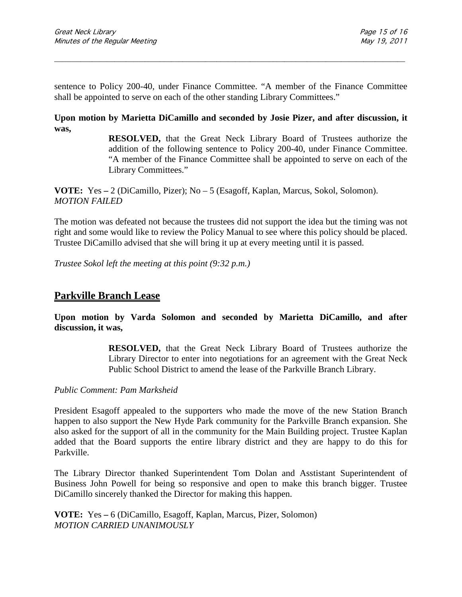sentence to Policy 200-40, under Finance Committee. "A member of the Finance Committee shall be appointed to serve on each of the other standing Library Committees."

\_\_\_\_\_\_\_\_\_\_\_\_\_\_\_\_\_\_\_\_\_\_\_\_\_\_\_\_\_\_\_\_\_\_\_\_\_\_\_\_\_\_\_\_\_\_\_\_\_\_\_\_\_\_\_\_\_\_\_\_\_\_\_\_\_\_\_\_\_\_\_\_\_\_\_\_\_\_\_\_\_\_\_\_\_\_\_\_\_\_\_\_\_

**Upon motion by Marietta DiCamillo and seconded by Josie Pizer, and after discussion, it was,**

> **RESOLVED,** that the Great Neck Library Board of Trustees authorize the addition of the following sentence to Policy 200-40, under Finance Committee. "A member of the Finance Committee shall be appointed to serve on each of the Library Committees."

**VOTE:** Yes **–** 2 (DiCamillo, Pizer); No – 5 (Esagoff, Kaplan, Marcus, Sokol, Solomon). *MOTION FAILED*

The motion was defeated not because the trustees did not support the idea but the timing was not right and some would like to review the Policy Manual to see where this policy should be placed. Trustee DiCamillo advised that she will bring it up at every meeting until it is passed.

*Trustee Sokol left the meeting at this point (9:32 p.m.)*

### **Parkville Branch Lease**

**Upon motion by Varda Solomon and seconded by Marietta DiCamillo, and after discussion, it was,**

> **RESOLVED,** that the Great Neck Library Board of Trustees authorize the Library Director to enter into negotiations for an agreement with the Great Neck Public School District to amend the lease of the Parkville Branch Library.

*Public Comment: Pam Marksheid*

President Esagoff appealed to the supporters who made the move of the new Station Branch happen to also support the New Hyde Park community for the Parkville Branch expansion. She also asked for the support of all in the community for the Main Building project. Trustee Kaplan added that the Board supports the entire library district and they are happy to do this for Parkville.

The Library Director thanked Superintendent Tom Dolan and Asstistant Superintendent of Business John Powell for being so responsive and open to make this branch bigger. Trustee DiCamillo sincerely thanked the Director for making this happen.

**VOTE:** Yes **–** 6 (DiCamillo, Esagoff, Kaplan, Marcus, Pizer, Solomon) *MOTION CARRIED UNANIMOUSLY*